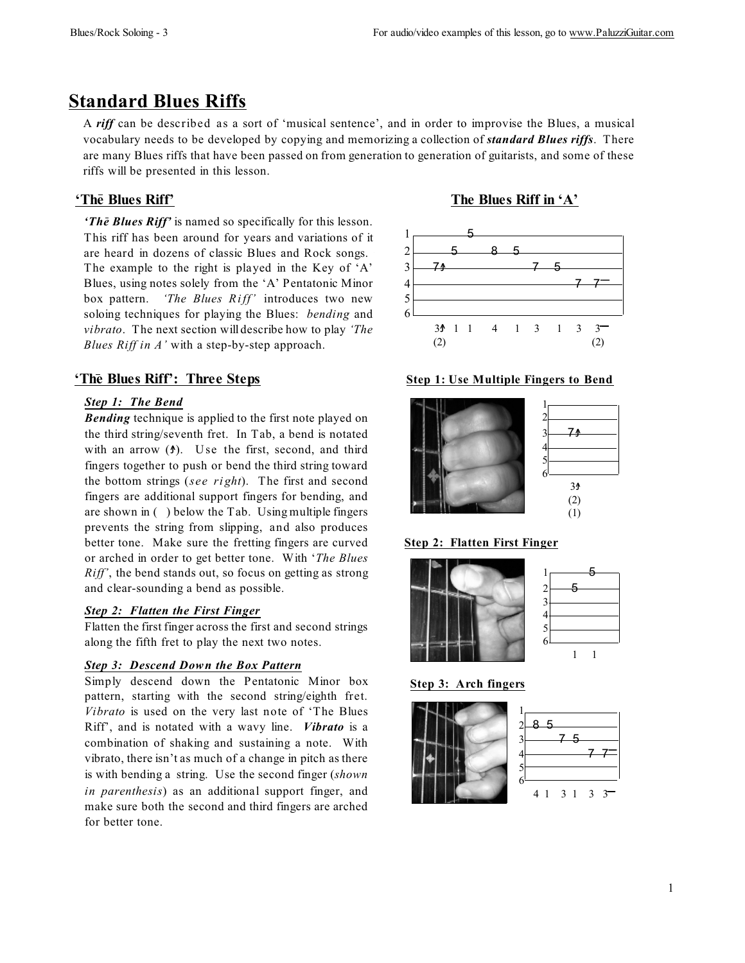# **Standard Blues Riffs**

A *riff* can be described as a sort of 'musical sentence', and in order to improvise the Blues, a musical vocabulary needs to be developed by copying and memorizing a collection of *standard Blues riffs*. There are many Blues riffs that have been passed on from generation to generation of guitarists, and some of these riffs will be presented in this lesson.

*'The Blues Riff'* is named so specifically for this lesson. This riff has been around for years and variations of it are heard in dozens of classic Blues and Rock songs. The example to the right is played in the Key of 'A' Blues, using notes solely from the 'A' Pentatonic Minor box pattern. *'The Blues Riff'* introduces two new soloing techniques for playing the Blues: *bending* and *vibrato*. The next section will describe how to play *'The Blues Riff in A'* with a step-by-step approach.

### *Step 1: The Bend*

*Bending* technique is applied to the first note played on the third string/seventh fret. In Tab, a bend is notated with an arrow  $(\triangle)$ . Use the first, second, and third fingers together to push or bend the third string toward the bottom strings (*see ri ght*). The first and second fingers are additional support fingers for bending, and are shown in ( ) below the Tab. Using multiple fingers prevents the string from slipping, and also produces better tone. Make sure the fretting fingers are curved or arched in order to get better tone. With '*The Blues Riff'*, the bend stands out, so focus on getting as strong and clear-sounding a bend as possible.

### *Step 2: Flatten the First Finger*

Flatten the first finger across the first and second strings along the fifth fret to play the next two notes.

### *Step 3: Descend Down the Box Pattern*

Simply descend down the Pentatonic Minor box pattern, starting with the second string/eighth fret. *Vibrato* is used on the very last note of 'The Blues Riff', and is notated with a wavy line. *Vibrato* is a combination of shaking and sustaining a note. With vibrato, there isn't as much of a change in pitch as there is with bending a string. Use the second finger (*shown in parenthesis*) as an additional support finger, and make sure both the second and third fingers are arched for better tone.

### **'The Blues Riff' The Blues Riff in 'A'**



**'The Blues Riff': Three Steps Step 1: Use Multiple Fingers to Bend**



## **Step 2: Flatten First Finger**



### **Step 3: Arch fingers**